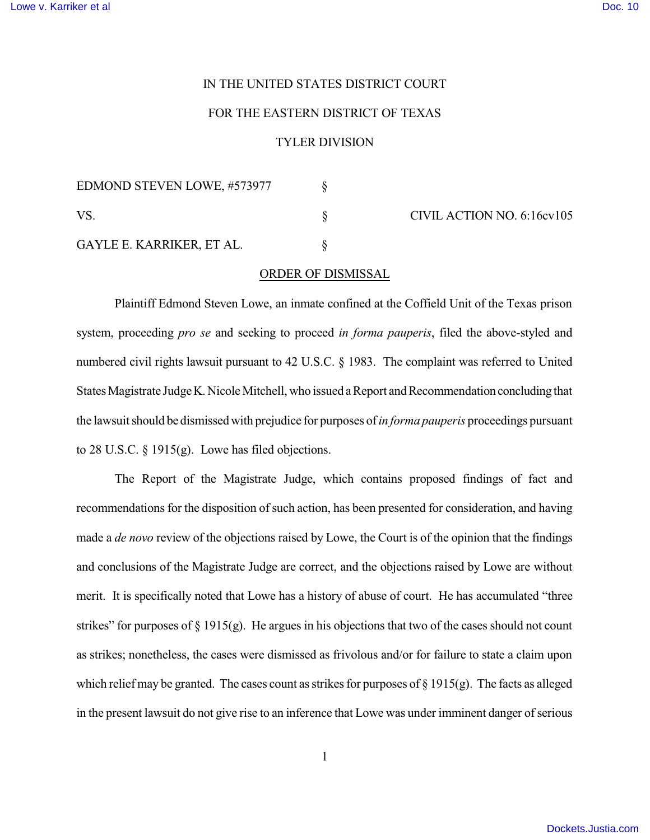### IN THE UNITED STATES DISTRICT COURT

#### FOR THE EASTERN DISTRICT OF TEXAS

# TYLER DIVISION

| EDMOND STEVEN LOWE, #573977<br>VS.<br>GAYLE E. KARRIKER, ET AL. |  |
|-----------------------------------------------------------------|--|
|                                                                 |  |
|                                                                 |  |

CIVIL ACTION NO. 6:16cv105

### ORDER OF DISMISSAL

Plaintiff Edmond Steven Lowe, an inmate confined at the Coffield Unit of the Texas prison system, proceeding *pro se* and seeking to proceed *in forma pauperis*, filed the above-styled and numbered civil rights lawsuit pursuant to 42 U.S.C. § 1983. The complaint was referred to United States Magistrate Judge K. Nicole Mitchell, who issued a Report and Recommendation concluding that the lawsuit should be dismissed with prejudice for purposes of *in forma pauperis* proceedings pursuant to 28 U.S.C. § 1915(g). Lowe has filed objections.

The Report of the Magistrate Judge, which contains proposed findings of fact and recommendations for the disposition of such action, has been presented for consideration, and having made a *de novo* review of the objections raised by Lowe, the Court is of the opinion that the findings and conclusions of the Magistrate Judge are correct, and the objections raised by Lowe are without merit. It is specifically noted that Lowe has a history of abuse of court. He has accumulated "three strikes" for purposes of  $\S 1915(g)$ . He argues in his objections that two of the cases should not count as strikes; nonetheless, the cases were dismissed as frivolous and/or for failure to state a claim upon which relief may be granted. The cases count as strikes for purposes of  $\S 1915(g)$ . The facts as alleged in the present lawsuit do not give rise to an inference that Lowe was under imminent danger of serious